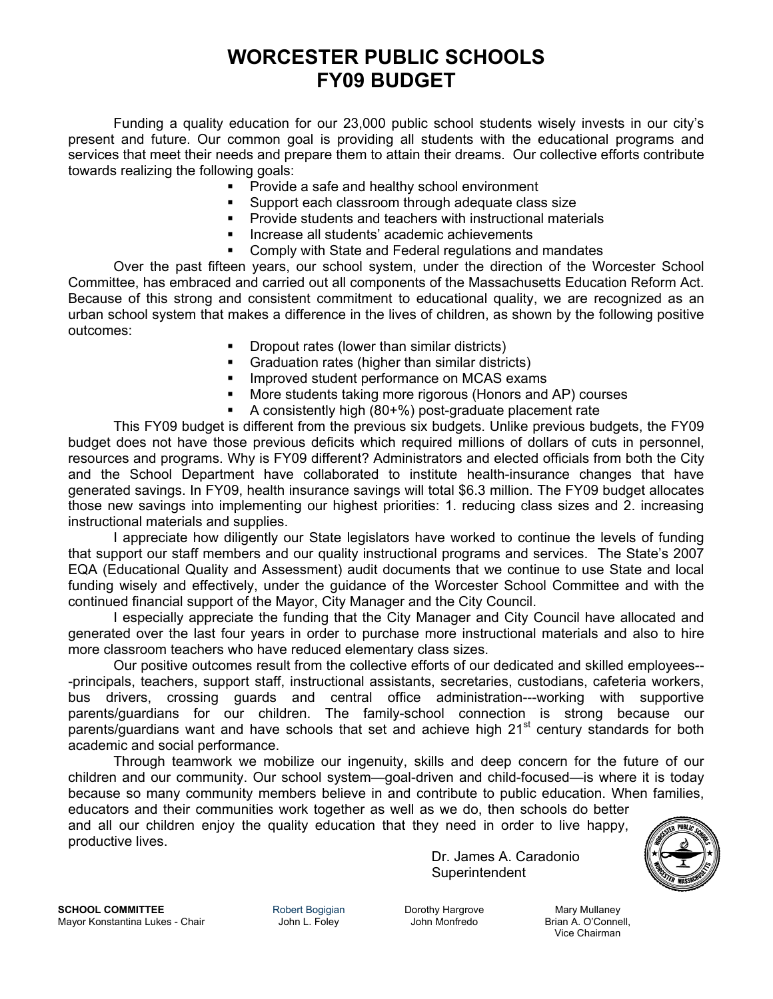# **WORCESTER PUBLIC SCHOOLS FY09 BUDGET**

Funding a quality education for our 23,000 public school students wisely invests in our city's present and future. Our common goal is providing all students with the educational programs and services that meet their needs and prepare them to attain their dreams. Our collective efforts contribute towards realizing the following goals:

- **Provide a safe and healthy school environment**
- Support each classroom through adequate class size
- Provide students and teachers with instructional materials
- Increase all students' academic achievements
- Comply with State and Federal regulations and mandates

 Over the past fifteen years, our school system, under the direction of the Worcester School Committee, has embraced and carried out all components of the Massachusetts Education Reform Act. Because of this strong and consistent commitment to educational quality, we are recognized as an urban school system that makes a difference in the lives of children, as shown by the following positive outcomes:

- Dropout rates (lower than similar districts)
- Graduation rates (higher than similar districts)
- **IMPROVED STATE IMPROVED STATE IMPROVED STATE**
- More students taking more rigorous (Honors and AP) courses
- A consistently high (80+%) post-graduate placement rate

 This FY09 budget is different from the previous six budgets. Unlike previous budgets, the FY09 budget does not have those previous deficits which required millions of dollars of cuts in personnel, resources and programs. Why is FY09 different? Administrators and elected officials from both the City and the School Department have collaborated to institute health-insurance changes that have generated savings. In FY09, health insurance savings will total \$6.3 million. The FY09 budget allocates those new savings into implementing our highest priorities: 1. reducing class sizes and 2. increasing instructional materials and supplies.

I appreciate how diligently our State legislators have worked to continue the levels of funding that support our staff members and our quality instructional programs and services. The State's 2007 EQA (Educational Quality and Assessment) audit documents that we continue to use State and local funding wisely and effectively, under the guidance of the Worcester School Committee and with the continued financial support of the Mayor, City Manager and the City Council.

I especially appreciate the funding that the City Manager and City Council have allocated and generated over the last four years in order to purchase more instructional materials and also to hire more classroom teachers who have reduced elementary class sizes.

 Our positive outcomes result from the collective efforts of our dedicated and skilled employees-- -principals, teachers, support staff, instructional assistants, secretaries, custodians, cafeteria workers, bus drivers, crossing guards and central office administration---working with supportive parents/guardians for our children. The family-school connection is strong because our parents/guardians want and have schools that set and achieve high 21<sup>st</sup> century standards for both academic and social performance.

 Through teamwork we mobilize our ingenuity, skills and deep concern for the future of our children and our community. Our school system—goal-driven and child-focused—is where it is today because so many community members believe in and contribute to public education. When families, educators and their communities work together as well as we do, then schools do better

and all our children enjoy the quality education that they need in order to live happy, productive lives.

Dr. James A. Caradonio Superintendent



**SCHOOL COMMITTEE Robert Bogigian Dorothy Hargrove** Mary Mullaney **Margrove** Mary Mullaney **Margrove** Mary Mullaney Margrove **Margrove** Mary Mullaney Margrove **Margrove** Margrove **Margrove** Margrove Margrove Margrow Ma Mayor Konstantina Lukes - Chair **John L. Foley** John Monfredo

Vice Chairman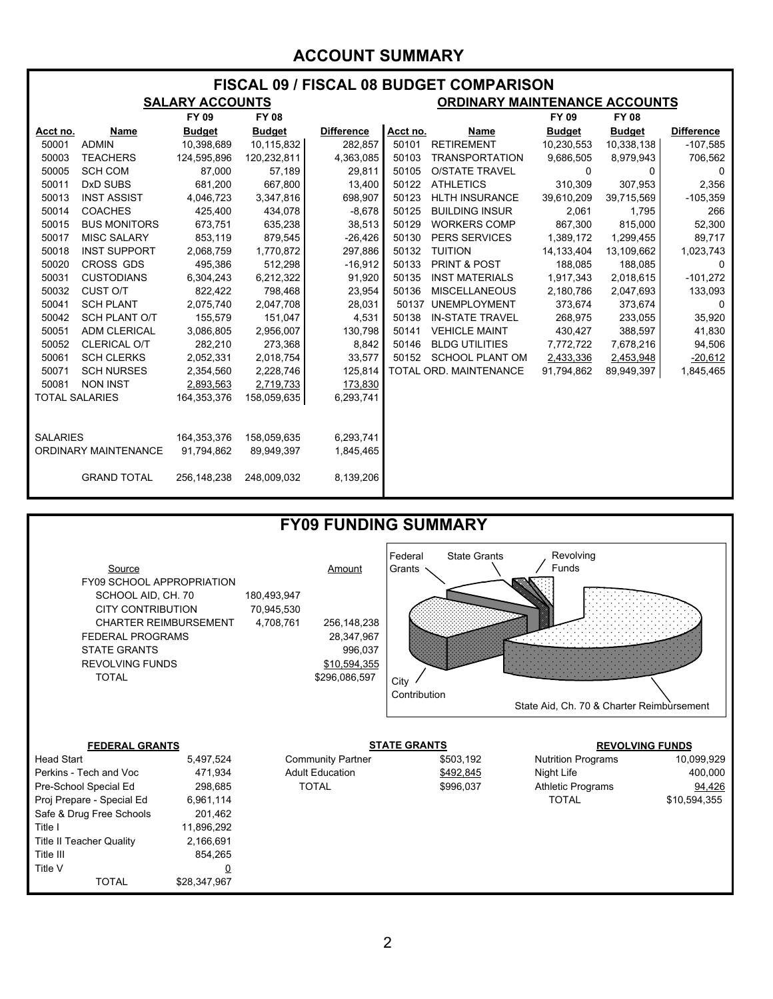### **ACCOUNT SUMMARY**

| FISCAL 09 / FISCAL 08 BUDGET COMPARISON |                      |                        |               |                   |                                      |                        |               |               |                   |  |  |
|-----------------------------------------|----------------------|------------------------|---------------|-------------------|--------------------------------------|------------------------|---------------|---------------|-------------------|--|--|
|                                         |                      | <b>SALARY ACCOUNTS</b> |               |                   | <b>ORDINARY MAINTENANCE ACCOUNTS</b> |                        |               |               |                   |  |  |
|                                         |                      | FY 09                  | <b>FY 08</b>  |                   |                                      |                        | FY 09         | <b>FY 08</b>  |                   |  |  |
| Acct no.                                | Name                 | <b>Budget</b>          | <b>Budget</b> | <b>Difference</b> | Acct no.                             | Name                   | <b>Budget</b> | <b>Budget</b> | <b>Difference</b> |  |  |
| 50001                                   | <b>ADMIN</b>         | 10,398,689             | 10,115,832    | 282,857           | 50101                                | <b>RETIREMENT</b>      | 10,230,553    | 10,338,138    | $-107,585$        |  |  |
| 50003                                   | <b>TEACHERS</b>      | 124,595,896            | 120,232,811   | 4,363,085         | 50103                                | <b>TRANSPORTATION</b>  | 9,686,505     | 8,979,943     | 706,562           |  |  |
| 50005                                   | <b>SCH COM</b>       | 87,000                 | 57,189        | 29,811            | 50105                                | <b>O/STATE TRAVEL</b>  | $\Omega$      | 0             | $\mathbf{0}$      |  |  |
| 50011                                   | DxD SUBS             | 681,200                | 667,800       | 13,400            | 50122                                | <b>ATHLETICS</b>       | 310,309       | 307,953       | 2,356             |  |  |
| 50013                                   | <b>INST ASSIST</b>   | 4,046,723              | 3,347,816     | 698,907           | 50123                                | <b>HLTH INSURANCE</b>  | 39,610,209    | 39,715,569    | $-105,359$        |  |  |
| 50014                                   | <b>COACHES</b>       | 425,400                | 434,078       | $-8,678$          | 50125                                | <b>BUILDING INSUR</b>  | 2,061         | 1,795         | 266               |  |  |
| 50015                                   | <b>BUS MONITORS</b>  | 673,751                | 635,238       | 38,513            | 50129                                | WORKERS COMP           | 867,300       | 815,000       | 52,300            |  |  |
| 50017                                   | <b>MISC SALARY</b>   | 853,119                | 879,545       | $-26,426$         | 50130                                | <b>PERS SERVICES</b>   | 1,389,172     | 1,299,455     | 89,717            |  |  |
| 50018                                   | <b>INST SUPPORT</b>  | 2,068,759              | 1,770,872     | 297,886           | 50132                                | <b>TUITION</b>         | 14,133,404    | 13,109,662    | 1,023,743         |  |  |
| 50020                                   | CROSS GDS            | 495,386                | 512,298       | $-16,912$         | 50133                                | PRINT & POST           | 188,085       | 188,085       | 0                 |  |  |
| 50031                                   | <b>CUSTODIANS</b>    | 6,304,243              | 6,212,322     | 91,920            | 50135                                | <b>INST MATERIALS</b>  | 1,917,343     | 2,018,615     | $-101,272$        |  |  |
| 50032                                   | CUST O/T             | 822,422                | 798,468       | 23,954            | 50136                                | <b>MISCELLANEOUS</b>   | 2,180,786     | 2,047,693     | 133,093           |  |  |
| 50041                                   | <b>SCH PLANT</b>     | 2,075,740              | 2,047,708     | 28,031            |                                      | 50137 UNEMPLOYMENT     | 373,674       | 373,674       | 0                 |  |  |
| 50042                                   | <b>SCH PLANT O/T</b> | 155,579                | 151,047       | 4,531             | 50138                                | <b>IN-STATE TRAVEL</b> | 268,975       | 233,055       | 35,920            |  |  |
| 50051                                   | <b>ADM CLERICAL</b>  | 3,086,805              | 2,956,007     | 130,798           | 50141                                | <b>VEHICLE MAINT</b>   | 430,427       | 388,597       | 41,830            |  |  |
| 50052                                   | <b>CLERICAL O/T</b>  | 282,210                | 273,368       | 8,842             | 50146                                | <b>BLDG UTILITIES</b>  | 7,772,722     | 7,678,216     | 94,506            |  |  |
| 50061                                   | <b>SCH CLERKS</b>    | 2,052,331              | 2,018,754     | 33,577            | 50152                                | <b>SCHOOL PLANT OM</b> | 2,433,336     | 2,453,948     | $-20,612$         |  |  |
| 50071                                   | <b>SCH NURSES</b>    | 2,354,560              | 2,228,746     | 125,814           |                                      | TOTAL ORD. MAINTENANCE | 91,794,862    | 89,949,397    | 1,845,465         |  |  |
| 50081                                   | <b>NON INST</b>      | 2,893,563              | 2,719,733     | 173,830           |                                      |                        |               |               |                   |  |  |
| <b>TOTAL SALARIES</b>                   |                      | 164,353,376            | 158,059,635   | 6,293,741         |                                      |                        |               |               |                   |  |  |
|                                         |                      |                        |               |                   |                                      |                        |               |               |                   |  |  |
|                                         |                      |                        |               |                   |                                      |                        |               |               |                   |  |  |
| <b>SALARIES</b>                         |                      | 164,353,376            | 158,059,635   | 6,293,741         |                                      |                        |               |               |                   |  |  |
| <b>ORDINARY MAINTENANCE</b>             |                      | 91,794,862             | 89,949,397    | 1,845,465         |                                      |                        |               |               |                   |  |  |
|                                         |                      |                        |               |                   |                                      |                        |               |               |                   |  |  |
|                                         | <b>GRAND TOTAL</b>   | 256,148,238            | 248,009,032   | 8,139,206         |                                      |                        |               |               |                   |  |  |
|                                         |                      |                        |               |                   |                                      |                        |               |               |                   |  |  |



| Source<br><b>FY09 SCHOOL APPROPRIATION</b><br>SCHOOL AID, CH. 70<br><b>CITY CONTRIBUTION</b><br><b>CHARTER REIMBURSEMENT</b> |                          | 180,493,947<br>70,945,530<br>4,708,761 | Amount<br>256,148,238    | Federal<br>Grants   | <b>State Grants</b> | Revolving<br>Funds                        |              |  |
|------------------------------------------------------------------------------------------------------------------------------|--------------------------|----------------------------------------|--------------------------|---------------------|---------------------|-------------------------------------------|--------------|--|
| <b>FEDERAL PROGRAMS</b><br><b>STATE GRANTS</b>                                                                               |                          |                                        | 28,347,967<br>996,037    |                     |                     |                                           |              |  |
| <b>REVOLVING FUNDS</b>                                                                                                       |                          | \$10,594,355                           |                          |                     |                     |                                           |              |  |
| <b>TOTAL</b>                                                                                                                 |                          |                                        | \$296,086,597            | City                |                     |                                           |              |  |
|                                                                                                                              |                          |                                        |                          | Contribution        |                     | State Aid, Ch. 70 & Charter Reimbursement |              |  |
| <b>FEDERAL GRANTS</b>                                                                                                        |                          |                                        |                          | <b>STATE GRANTS</b> |                     | <b>REVOLVING FUNDS</b>                    |              |  |
| <b>Head Start</b>                                                                                                            | 5,497,524                |                                        | <b>Community Partner</b> |                     | \$503,192           | <b>Nutrition Programs</b>                 | 10,099,929   |  |
| Perkins - Tech and Voc                                                                                                       | 471,934                  |                                        | <b>Adult Education</b>   |                     | \$492,845           | Night Life                                | 400,000      |  |
| Pre-School Special Ed                                                                                                        | 298,685                  |                                        | <b>TOTAL</b>             |                     | \$996,037           | <b>Athletic Programs</b>                  | 94,426       |  |
| Proj Prepare - Special Ed                                                                                                    | 6,961,114                |                                        |                          |                     |                     | <b>TOTAL</b>                              | \$10,594,355 |  |
| Safe & Drug Free Schools                                                                                                     | 201,462                  |                                        |                          |                     |                     |                                           |              |  |
| Title I                                                                                                                      | 11,896,292               |                                        |                          |                     |                     |                                           |              |  |
| <b>Title II Teacher Quality</b>                                                                                              | 2,166,691                |                                        |                          |                     |                     |                                           |              |  |
| Title III                                                                                                                    | 854,265                  |                                        |                          |                     |                     |                                           |              |  |
| Title V<br><b>TOTAL</b>                                                                                                      | <u>0</u><br>\$28,347,967 |                                        |                          |                     |                     |                                           |              |  |
|                                                                                                                              |                          |                                        |                          |                     |                     |                                           |              |  |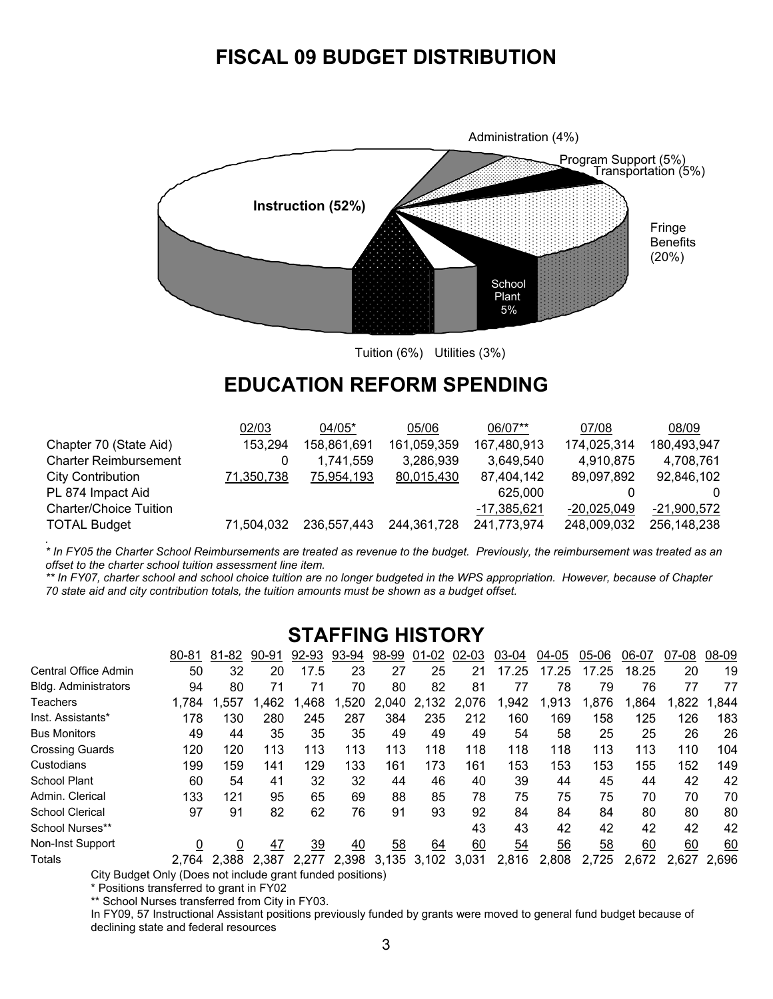## **FISCAL 09 BUDGET DISTRIBUTION**



Tuition (6%) Utilities (3%)

## **EDUCATION REFORM SPENDING**

|                               | 02/03      | $04/05*$    | 05/06       | 06/07**       | 07/08         | 08/09         |
|-------------------------------|------------|-------------|-------------|---------------|---------------|---------------|
| Chapter 70 (State Aid)        | 153,294    | 158,861,691 | 161,059,359 | 167,480,913   | 174,025,314   | 180,493,947   |
| <b>Charter Reimbursement</b>  | 0          | 1.741.559   | 3,286,939   | 3,649,540     | 4,910,875     | 4,708,761     |
| <b>City Contribution</b>      | 71,350,738 | 75,954,193  | 80,015,430  | 87,404,142    | 89,097,892    | 92,846,102    |
| PL 874 Impact Aid             |            |             |             | 625,000       |               | $\Omega$      |
| <b>Charter/Choice Tuition</b> |            |             |             | $-17,385,621$ | $-20.025.049$ | $-21,900,572$ |
| <b>TOTAL Budget</b>           | 71.504.032 | 236.557.443 | 244,361,728 | 241,773,974   | 248,009,032   | 256,148,238   |
|                               |            |             |             |               |               |               |

*\* In FY05 the Charter School Reimbursements are treated as revenue to the budget. Previously, the reimbursement was treated as an offset to the charter school tuition assessment line item.* 

*\*\* In FY07, charter school and school choice tuition are no longer budgeted in the WPS appropriation. However, because of Chapter 70 state aid and city contribution totals, the tuition amounts must be shown as a budget offset.* 

## **STAFFING HISTORY**

|                        | $80 - 81$ | 81-82 | $90 - 91$ | 92-93 | 93-94 | 98-99 | $01 - 02$ | 02-03 | 03-04 | 04-05 | 05-06 | 06-07 | 07-08 | 08-09 |
|------------------------|-----------|-------|-----------|-------|-------|-------|-----------|-------|-------|-------|-------|-------|-------|-------|
| Central Office Admin   | 50        | 32    | 20        | 17.5  | 23    | 27    | 25        | 21    | 17.25 | 17.25 | 17.25 | 18.25 | 20    | 19    |
| Bldg. Administrators   | 94        | 80    | 71        | 71    | 70    | 80    | 82        | 81    |       | 78    | 79    | 76    | 77    | 77    |
| <b>Teachers</b>        | 1.784     | .557  | .462      | .468  | .520  | 2.040 | 2,132     | 2,076 | .942  | 1,913 | .876  | .864  | .822  | 1.844 |
| Inst. Assistants*      | 178       | 130   | 280       | 245   | 287   | 384   | 235       | 212   | 160   | 169   | 158   | 125   | 126   | 183   |
| <b>Bus Monitors</b>    | 49        | 44    | 35        | 35    | 35    | 49    | 49        | 49    | 54    | 58    | 25    | 25    | 26    | 26    |
| <b>Crossing Guards</b> | 120       | 120   | 113       | 113   | 113   | 113   | 118       | 118   | 118   | 118   | 113   | 113   | 110   | 104   |
| Custodians             | 199       | 159   | 141       | 129   | 133   | 161   | 173       | 161   | 153   | 153   | 153   | 155   | 152   | 149   |
| <b>School Plant</b>    | 60        | 54    | 41        | 32    | 32    | 44    | 46        | 40    | 39    | 44    | 45    | 44    | 42    | 42    |
| Admin, Clerical        | 133       | 121   | 95        | 65    | 69    | 88    | 85        | 78    | 75    | 75    | 75    | 70    | 70    | 70    |
| <b>School Clerical</b> | 97        | 91    | 82        | 62    | 76    | 91    | 93        | 92    | 84    | 84    | 84    | 80    | 80    | 80    |
| School Nurses**        |           |       |           |       |       |       |           | 43    | 43    | 42    | 42    | 42    | 42    | 42    |
| Non-Inst Support       | 0         | 0     | 47        | 39    | 40    | 58    | 64        | 60    | 54    | 56    | 58    | 60    | 60    | 60    |
| <b>Totals</b>          | 2.764     | 2.388 | 2.387     | 2.277 | 2.398 | 3.135 | 3,102     | 3.031 | 2,816 | 2,808 | 2,725 | 2,672 | 2.627 | 2.696 |

City Budget Only (Does not include grant funded positions)

\* Positions transferred to grant in FY02

\*\* School Nurses transferred from City in FY03.

In FY09, 57 Instructional Assistant positions previously funded by grants were moved to general fund budget because of declining state and federal resources